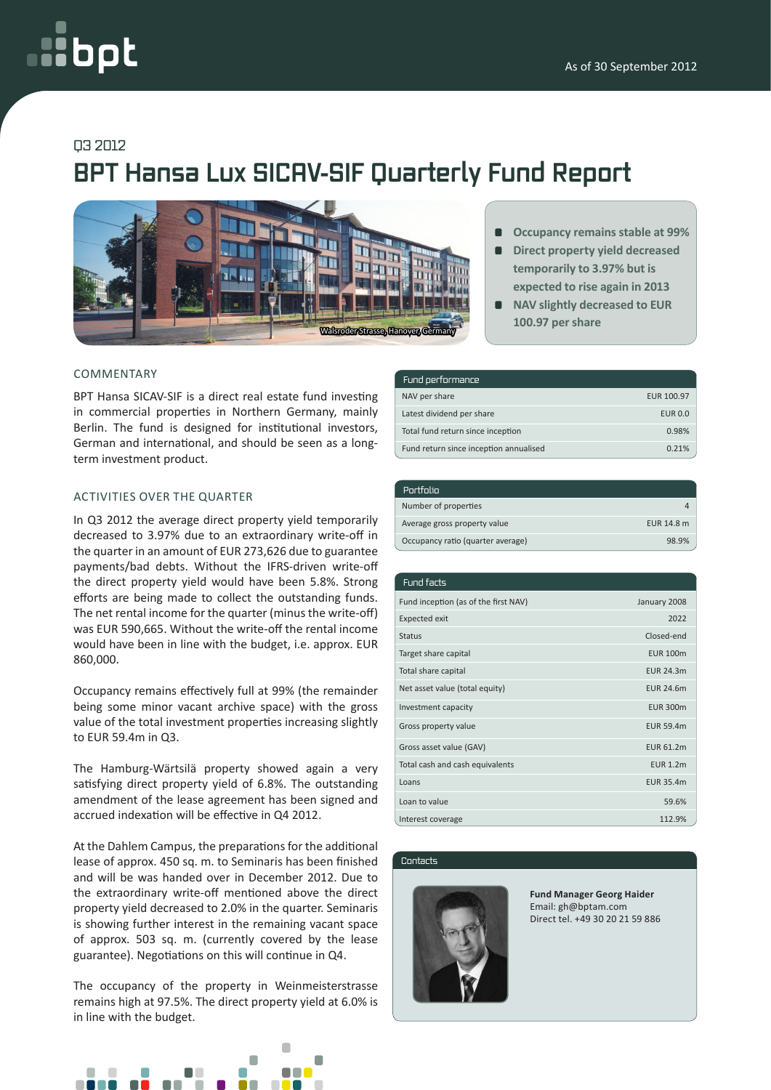# oot

## Q3 2012

# **BPT Hansa Lux SICAV-SIF Quarterly Fund Report**



#### COMMENTARY

BPT Hansa SICAV-SIF is a direct real estate fund investing in commercial properties in Northern Germany, mainly Berlin. The fund is designed for institutional investors, German and international, and should be seen as a longterm investment product.

#### ACTIVITIES OVER THE QUARTER

In Q3 2012 the average direct property yield temporarily decreased to 3.97% due to an extraordinary write-off in the quarter in an amount of EUR 273,626 due to guarantee payments/bad debts. Without the IFRS-driven write-off the direct property yield would have been 5.8%. Strong efforts are being made to collect the outstanding funds. The net rental income for the quarter (minus the write-off) was EUR 590,665. Without the write-off the rental income would have been in line with the budget, i.e. approx. EUR 860,000.

Occupancy remains effectively full at 99% (the remainder being some minor vacant archive space) with the gross value of the total investment properties increasing slightly to EUR 59.4m in Q3.

The Hamburg-Wärtsilä property showed again a very satisfying direct property yield of 6.8%. The outstanding amendment of the lease agreement has been signed and accrued indexation will be effective in Q4 2012.

At the Dahlem Campus, the preparations for the additional lease of approx. 450 sq. m. to Seminaris has been finished and will be was handed over in December 2012. Due to the extraordinary write-off mentioned above the direct property yield decreased to 2.0% in the quarter. Seminaris is showing further interest in the remaining vacant space of approx. 503 sq. m. (currently covered by the lease guarantee). Negotiations on this will continue in Q4.

The occupancy of the property in Weinmeisterstrasse remains high at 97.5%. The direct property yield at 6.0% is in line with the budget.



- **Occupancy remains stable at 99%**
- **Direct property yield decreased temporarily to 3.97% but is expected to rise again in 2013**
- $\blacksquare$ **NAV slightly decreased to EUR 100.97 per share**

| Fund performance                       |                |
|----------------------------------------|----------------|
| NAV per share                          | EUR 100.97     |
| Latest dividend per share              | <b>EUR 0.0</b> |
| Total fund return since inception      | 0.98%          |
| Fund return since inception annualised | 0.21%          |

| Portfolio                         |            |
|-----------------------------------|------------|
| Number of properties              |            |
| Average gross property value      | EUR 14.8 m |
| Occupancy ratio (quarter average) | 98.9%      |

| Fund facts                           |                  |
|--------------------------------------|------------------|
| Fund inception (as of the first NAV) | January 2008     |
| <b>Expected exit</b>                 | 2022             |
| <b>Status</b>                        | Closed-end       |
| Target share capital                 | <b>EUR 100m</b>  |
| Total share capital                  | <b>EUR 24.3m</b> |
| Net asset value (total equity)       | <b>EUR 24.6m</b> |
| Investment capacity                  | <b>EUR 300m</b>  |
| Gross property value                 | <b>EUR 59.4m</b> |
| Gross asset value (GAV)              | <b>EUR 61.2m</b> |
| Total cash and cash equivalents      | <b>EUR 1.2m</b>  |
| Loans                                | EUR 35.4m        |
| Loan to value                        | 59.6%            |
| Interest coverage                    | 112.9%           |

Contacts



**Fund Manager Georg Haider** Email: gh@bptam.com Direct tel. +49 30 20 21 59 886